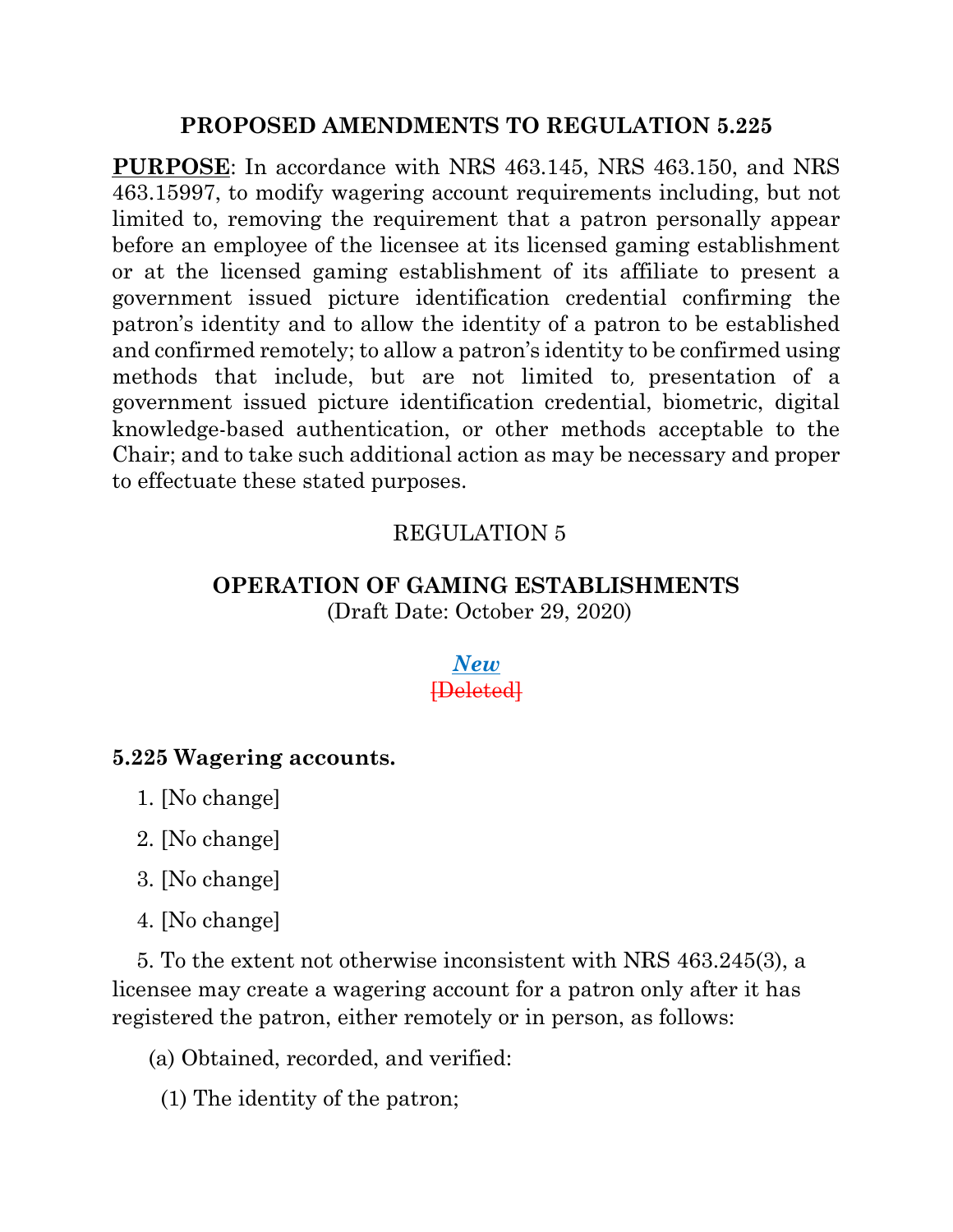## **PROPOSED AMENDMENTS TO REGULATION 5.225**

**PURPOSE**: In accordance with NRS 463.145, NRS 463.150, and NRS 463.15997, to modify wagering account requirements including, but not limited to, removing the requirement that a patron personally appear before an employee of the licensee at its licensed gaming establishment or at the licensed gaming establishment of its affiliate to present a government issued picture identification credential confirming the patron's identity and to allow the identity of a patron to be established and confirmed remotely; to allow a patron's identity to be confirmed using methods that include, but are not limited to, presentation of a government issued picture identification credential, biometric, digital knowledge-based authentication, or other methods acceptable to the Chair; and to take such additional action as may be necessary and proper to effectuate these stated purposes.

## REGULATION 5

# **OPERATION OF GAMING ESTABLISHMENTS**

(Draft Date: October 29, 2020)

### *New* [Deleted]

#### **5.225 Wagering accounts.**

1. [No change]

2. [No change]

3. [No change]

4. [No change]

 5. To the extent not otherwise inconsistent with NRS 463.245(3), a licensee may create a wagering account for a patron only after it has registered the patron, either remotely or in person, as follows:

(a) Obtained, recorded, and verified:

(1) The identity of the patron;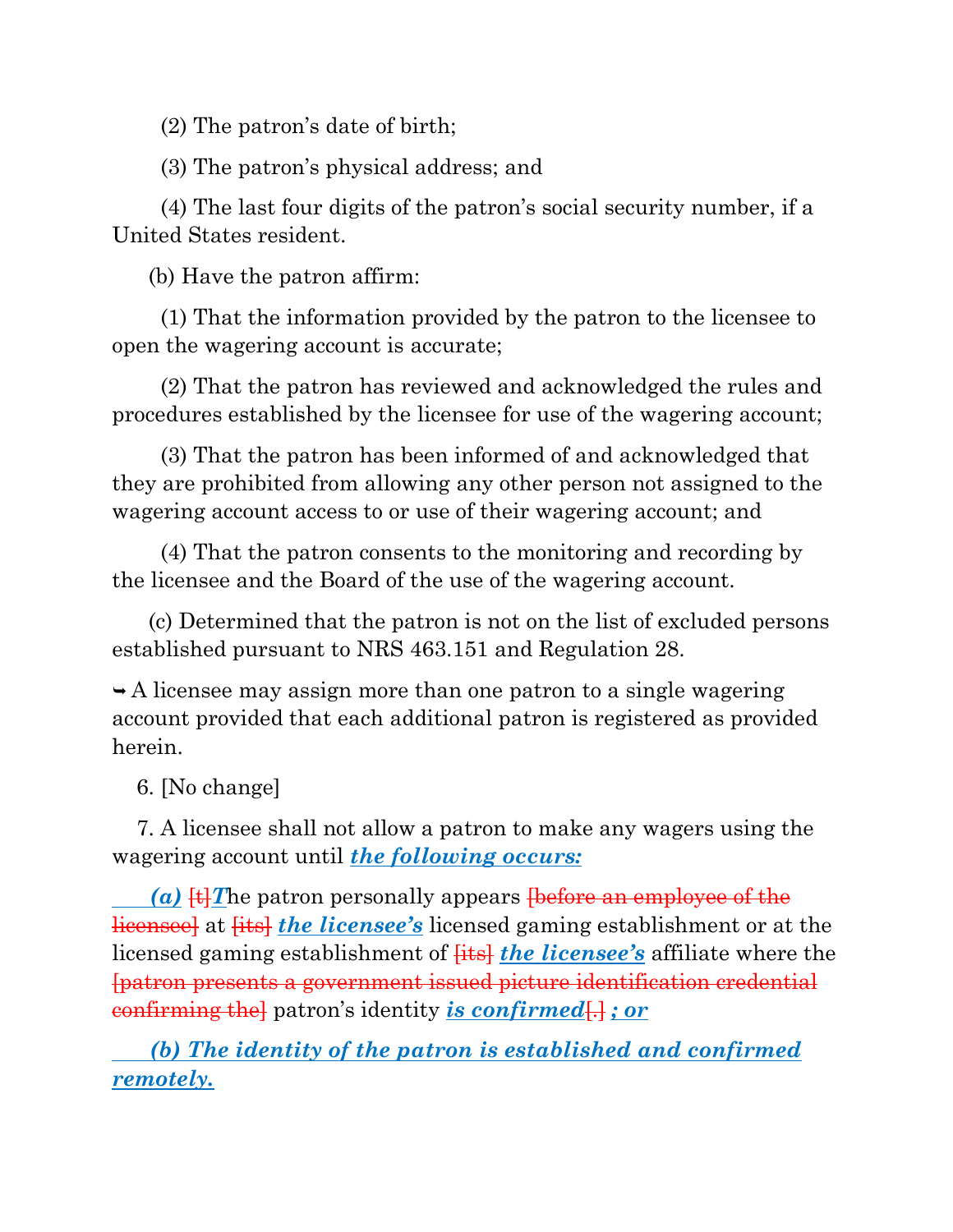(2) The patron's date of birth;

(3) The patron's physical address; and

 (4) The last four digits of the patron's social security number, if a United States resident.

(b) Have the patron affirm:

 (1) That the information provided by the patron to the licensee to open the wagering account is accurate;

 (2) That the patron has reviewed and acknowledged the rules and procedures established by the licensee for use of the wagering account;

 (3) That the patron has been informed of and acknowledged that they are prohibited from allowing any other person not assigned to the wagering account access to or use of their wagering account; and

 (4) That the patron consents to the monitoring and recording by the licensee and the Board of the use of the wagering account.

 (c) Determined that the patron is not on the list of excluded persons established pursuant to NRS 463.151 and Regulation 28.

 $\rightarrow$  A licensee may assign more than one patron to a single wagering account provided that each additional patron is registered as provided herein.

6. [No change]

 7. A licensee shall not allow a patron to make any wagers using the wagering account until *the following occurs:*

 $(a)$   $\ddagger$  The patron personally appears <del>[before an employee of the</del> licensee] at [its] *the licensee's* licensed gaming establishment or at the licensed gaming establishment of **fits** the *licensee's* affiliate where the [patron presents a government issued picture identification credential confirming the] patron's identity *is confirmed*[.] *; or*

 *(b) The identity of the patron is established and confirmed remotely.*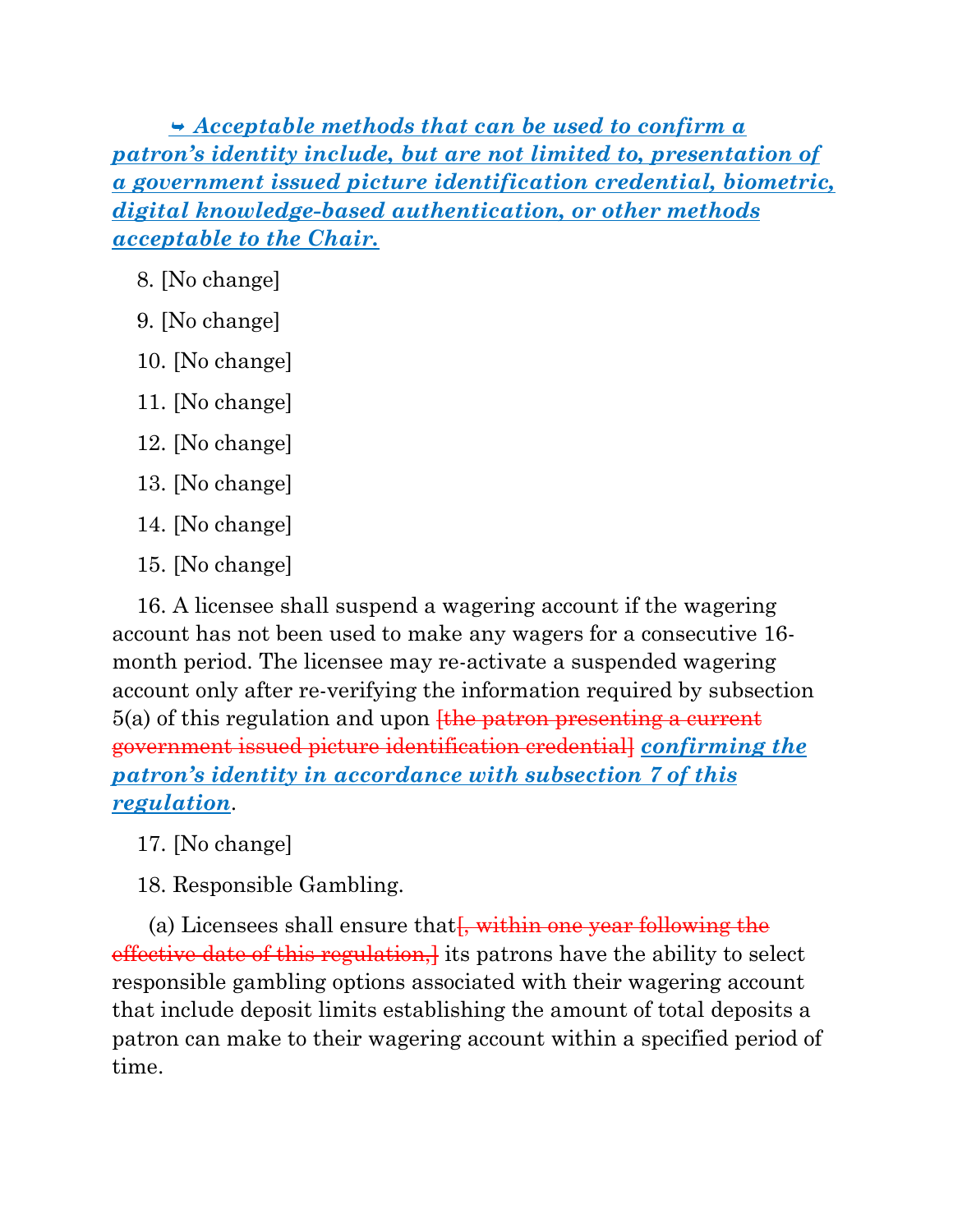*Acceptable methods that can be used to confirm a patron's identity include, but are not limited to, presentation of a government issued picture identification credential, biometric, digital knowledge-based authentication, or other methods acceptable to the Chair.*

- 8. [No change]
- 9. [No change]
- 10. [No change]
- 11. [No change]
- 12. [No change]
- 13. [No change]
- 14. [No change]
- 15. [No change]

 16. A licensee shall suspend a wagering account if the wagering account has not been used to make any wagers for a consecutive 16 month period. The licensee may re-activate a suspended wagering account only after re-verifying the information required by subsection  $5(a)$  of this regulation and upon  $f$ the patron presenting a current government issued picture identification credential] *confirming the patron's identity in accordance with subsection 7 of this regulation*.

- 17. [No change]
- 18. Responsible Gambling.

(a) Licensees shall ensure that  $\frac{1}{2}$ , within one year following the effective date of this regulation, its patrons have the ability to select responsible gambling options associated with their wagering account that include deposit limits establishing the amount of total deposits a patron can make to their wagering account within a specified period of time.